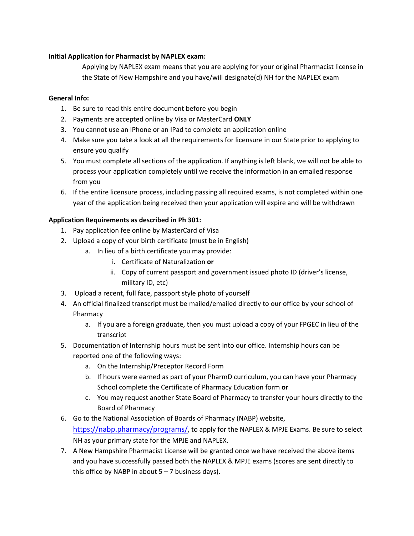## **Initial Application for Pharmacist by NAPLEX exam:**

Applying by NAPLEX exam means that you are applying for your original Pharmacist license in the State of New Hampshire and you have/will designate(d) NH for the NAPLEX exam

## **General Info:**

- 1. Be sure to read this entire document before you begin
- 2. Payments are accepted online by Visa or MasterCard **ONLY**
- 3. You cannot use an IPhone or an IPad to complete an application online
- 4. Make sure you take a look at all the requirements for licensure in our State prior to applying to ensure you qualify
- 5. You must complete all sections of the application. If anything is left blank, we will not be able to process your application completely until we receive the information in an emailed response from you
- 6. If the entire licensure process, including passing all required exams, is not completed within one year of the application being received then your application will expire and will be withdrawn

## **Application Requirements as described in Ph 301:**

- 1. Pay application fee online by MasterCard of Visa
- 2. Upload a copy of your birth certificate (must be in English)
	- a. In lieu of a birth certificate you may provide:
		- i. Certificate of Naturalization **or**
		- ii. Copy of current passport and government issued photo ID (driver's license, military ID, etc)
- 3. Upload a recent, full face, passport style photo of yourself
- 4. An official finalized transcript must be mailed/emailed directly to our office by your school of Pharmacy
	- a. If you are a foreign graduate, then you must upload a copy of your FPGEC in lieu of the transcript
- 5. Documentation of Internship hours must be sent into our office. Internship hours can be reported one of the following ways:
	- a. On the Internship/Preceptor Record Form
	- b. If hours were earned as part of your PharmD curriculum, you can have your Pharmacy School complete the Certificate of Pharmacy Education form **or**
	- c. You may request another State Board of Pharmacy to transfer your hours directly to the Board of Pharmacy
- 6. Go to the National Association of Boards of Pharmacy (NABP) website, https://nabp.pharmacy/programs/, to apply for the NAPLEX & MPJE Exams. Be sure to select NH as your primary state for the MPJE and NAPLEX.
- 7. A New Hampshire Pharmacist License will be granted once we have received the above items and you have successfully passed both the NAPLEX & MPJE exams (scores are sent directly to this office by NABP in about  $5 - 7$  business days).